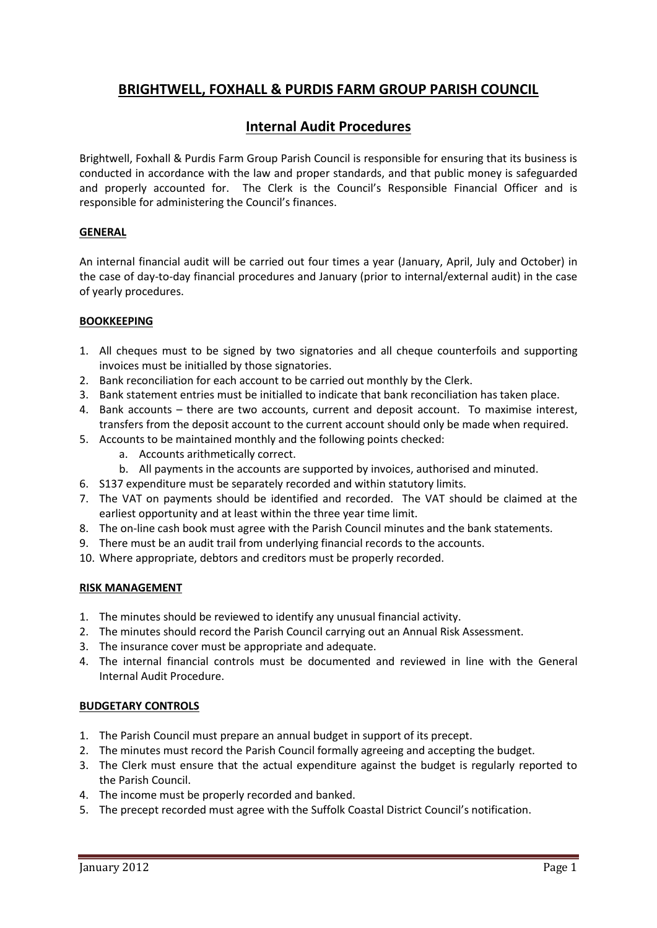# **BRIGHTWELL, FOXHALL & PURDIS FARM GROUP PARISH COUNCIL**

## **Internal Audit Procedures**

Brightwell, Foxhall & Purdis Farm Group Parish Council is responsible for ensuring that its business is conducted in accordance with the law and proper standards, and that public money is safeguarded and properly accounted for. The Clerk is the Council's Responsible Financial Officer and is responsible for administering the Council's finances.

## **GENERAL**

An internal financial audit will be carried out four times a year (January, April, July and October) in the case of day-to-day financial procedures and January (prior to internal/external audit) in the case of yearly procedures.

#### **BOOKKEEPING**

- 1. All cheques must to be signed by two signatories and all cheque counterfoils and supporting invoices must be initialled by those signatories.
- 2. Bank reconciliation for each account to be carried out monthly by the Clerk.
- 3. Bank statement entries must be initialled to indicate that bank reconciliation has taken place.
- 4. Bank accounts there are two accounts, current and deposit account. To maximise interest, transfers from the deposit account to the current account should only be made when required.
- 5. Accounts to be maintained monthly and the following points checked:
	- a. Accounts arithmetically correct.
	- b. All payments in the accounts are supported by invoices, authorised and minuted.
- 6. S137 expenditure must be separately recorded and within statutory limits.
- 7. The VAT on payments should be identified and recorded. The VAT should be claimed at the earliest opportunity and at least within the three year time limit.
- 8. The on-line cash book must agree with the Parish Council minutes and the bank statements.
- 9. There must be an audit trail from underlying financial records to the accounts.
- 10. Where appropriate, debtors and creditors must be properly recorded.

#### **RISK MANAGEMENT**

- 1. The minutes should be reviewed to identify any unusual financial activity.
- 2. The minutes should record the Parish Council carrying out an Annual Risk Assessment.
- 3. The insurance cover must be appropriate and adequate.
- 4. The internal financial controls must be documented and reviewed in line with the General Internal Audit Procedure.

## **BUDGETARY CONTROLS**

- 1. The Parish Council must prepare an annual budget in support of its precept.
- 2. The minutes must record the Parish Council formally agreeing and accepting the budget.
- 3. The Clerk must ensure that the actual expenditure against the budget is regularly reported to the Parish Council.
- 4. The income must be properly recorded and banked.
- 5. The precept recorded must agree with the Suffolk Coastal District Council's notification.